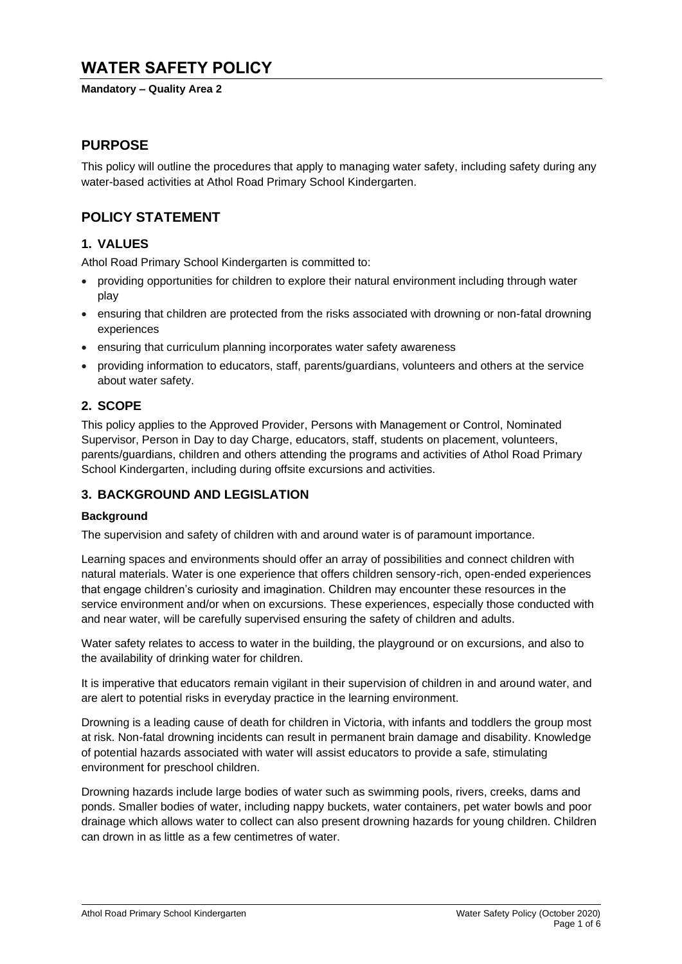# **WATER SAFETY POLICY**

#### **Mandatory – Quality Area 2**

## **PURPOSE**

This policy will outline the procedures that apply to managing water safety, including safety during any water-based activities at Athol Road Primary School Kindergarten.

## **POLICY STATEMENT**

## **1. VALUES**

Athol Road Primary School Kindergarten is committed to:

- providing opportunities for children to explore their natural environment including through water play
- ensuring that children are protected from the risks associated with drowning or non-fatal drowning experiences
- ensuring that curriculum planning incorporates water safety awareness
- providing information to educators, staff, parents/guardians, volunteers and others at the service about water safety.

## **2. SCOPE**

This policy applies to the Approved Provider, Persons with Management or Control, Nominated Supervisor, Person in Day to day Charge, educators, staff, students on placement, volunteers, parents/guardians, children and others attending the programs and activities of Athol Road Primary School Kindergarten, including during offsite excursions and activities.

## **3. BACKGROUND AND LEGISLATION**

#### **Background**

The supervision and safety of children with and around water is of paramount importance.

Learning spaces and environments should offer an array of possibilities and connect children with natural materials. Water is one experience that offers children sensory-rich, open-ended experiences that engage children's curiosity and imagination. Children may encounter these resources in the service environment and/or when on excursions. These experiences, especially those conducted with and near water, will be carefully supervised ensuring the safety of children and adults.

Water safety relates to access to water in the building, the playground or on excursions, and also to the availability of drinking water for children.

It is imperative that educators remain vigilant in their supervision of children in and around water, and are alert to potential risks in everyday practice in the learning environment.

Drowning is a leading cause of death for children in Victoria, with infants and toddlers the group most at risk. Non-fatal drowning incidents can result in permanent brain damage and disability. Knowledge of potential hazards associated with water will assist educators to provide a safe, stimulating environment for preschool children.

Drowning hazards include large bodies of water such as swimming pools, rivers, creeks, dams and ponds. Smaller bodies of water, including nappy buckets, water containers, pet water bowls and poor drainage which allows water to collect can also present drowning hazards for young children. Children can drown in as little as a few centimetres of water.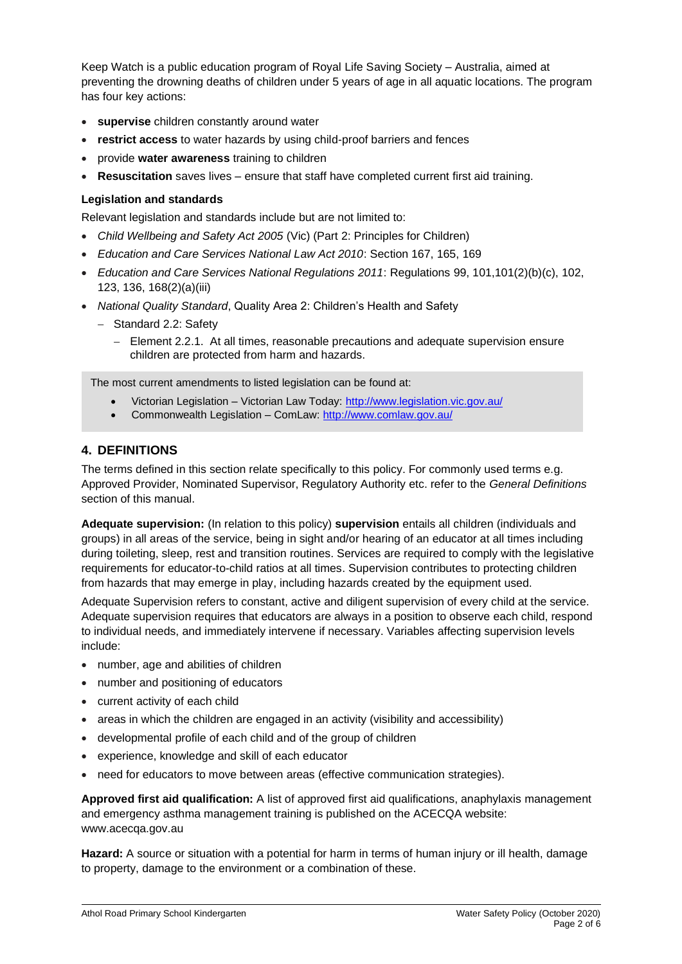Keep Watch is a public education program of Royal Life Saving Society – Australia, aimed at preventing the drowning deaths of children under 5 years of age in all aquatic locations. The program has four key actions:

- **supervise** children constantly around water
- **restrict access** to water hazards by using child-proof barriers and fences
- provide **water awareness** training to children
- **Resuscitation** saves lives ensure that staff have completed current first aid training.

#### **Legislation and standards**

Relevant legislation and standards include but are not limited to:

- *Child Wellbeing and Safety Act 2005* (Vic) (Part 2: Principles for Children)
- *Education and Care Services National Law Act 2010*: Section 167, 165, 169
- *Education and Care Services National Regulations 2011*: Regulations 99, 101,101(2)(b)(c), 102, 123, 136, 168(2)(a)(iii)
- *National Quality Standard*, Quality Area 2: Children's Health and Safety
	- − Standard 2.2: Safety
		- − Element 2.2.1. At all times, reasonable precautions and adequate supervision ensure children are protected from harm and hazards.

The most current amendments to listed legislation can be found at:

- Victorian Legislation Victorian Law Today:<http://www.legislation.vic.gov.au/>
- Commonwealth Legislation ComLaw:<http://www.comlaw.gov.au/>

## **4. DEFINITIONS**

The terms defined in this section relate specifically to this policy. For commonly used terms e.g. Approved Provider, Nominated Supervisor, Regulatory Authority etc. refer to the *General Definitions* section of this manual.

**Adequate supervision:** (In relation to this policy) **supervision** entails all children (individuals and groups) in all areas of the service, being in sight and/or hearing of an educator at all times including during toileting, sleep, rest and transition routines. Services are required to comply with the legislative requirements for educator-to-child ratios at all times. Supervision contributes to protecting children from hazards that may emerge in play, including hazards created by the equipment used.

Adequate Supervision refers to constant, active and diligent supervision of every child at the service. Adequate supervision requires that educators are always in a position to observe each child, respond to individual needs, and immediately intervene if necessary. Variables affecting supervision levels include:

- number, age and abilities of children
- number and positioning of educators
- current activity of each child
- areas in which the children are engaged in an activity (visibility and accessibility)
- developmental profile of each child and of the group of children
- experience, knowledge and skill of each educator
- need for educators to move between areas (effective communication strategies).

**Approved first aid qualification:** A list of approved first aid qualifications, anaphylaxis management and emergency asthma management training is published on the ACECQA website: www.acecqa.gov.au

**Hazard:** A source or situation with a potential for harm in terms of human injury or ill health, damage to property, damage to the environment or a combination of these.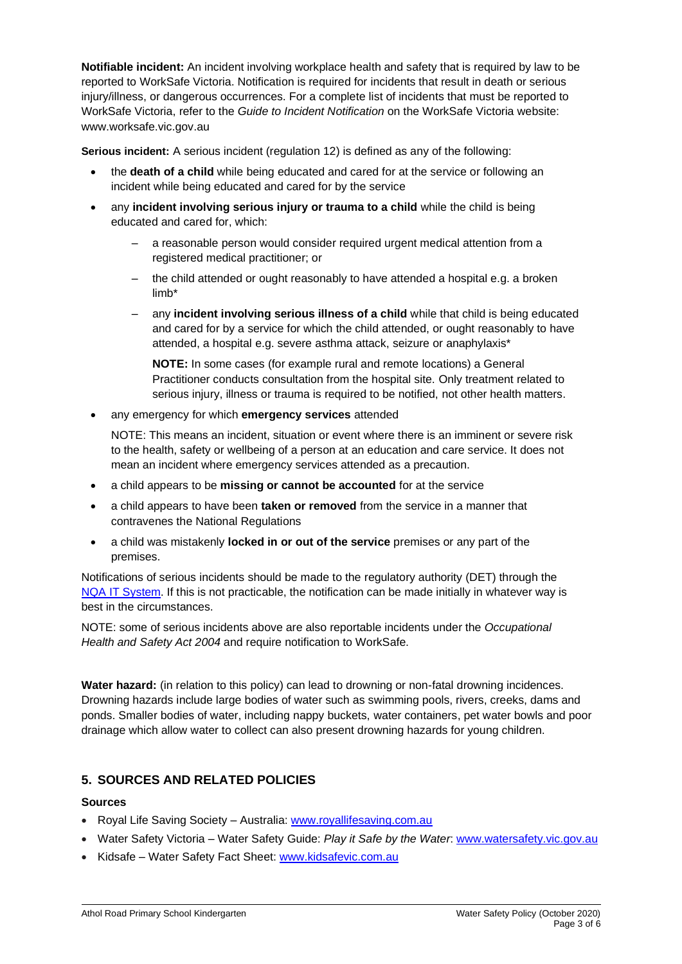**Notifiable incident:** An incident involving workplace health and safety that is required by law to be reported to WorkSafe Victoria. Notification is required for incidents that result in death or serious injury/illness, or dangerous occurrences. For a complete list of incidents that must be reported to WorkSafe Victoria, refer to the *Guide to Incident Notification* on the WorkSafe Victoria website: www.worksafe.vic.gov.au

**Serious incident:** A serious incident (regulation 12) is defined as any of the following:

- the **death of a child** while being educated and cared for at the service or following an incident while being educated and cared for by the service
- any **incident involving serious injury or trauma to a child** while the child is being educated and cared for, which:
	- a reasonable person would consider required urgent medical attention from a registered medical practitioner; or
	- the child attended or ought reasonably to have attended a hospital e.g. a broken limb\*
	- any **incident involving serious illness of a child** while that child is being educated and cared for by a service for which the child attended, or ought reasonably to have attended, a hospital e.g. severe asthma attack, seizure or anaphylaxis\*

**NOTE:** In some cases (for example rural and remote locations) a General Practitioner conducts consultation from the hospital site. Only treatment related to serious injury, illness or trauma is required to be notified, not other health matters.

• any emergency for which **emergency services** attended

NOTE: This means an incident, situation or event where there is an imminent or severe risk to the health, safety or wellbeing of a person at an education and care service. It does not mean an incident where emergency services attended as a precaution.

- a child appears to be **missing or cannot be accounted** for at the service
- a child appears to have been **taken or removed** from the service in a manner that contravenes the National Regulations
- a child was mistakenly **locked in or out of the service** premises or any part of the premises.

Notifications of serious incidents should be made to the regulatory authority (DET) through the [NQA IT System.](https://www.acecqa.gov.au/resources/national-quality-agenda-it-system) If this is not practicable, the notification can be made initially in whatever way is best in the circumstances.

NOTE: some of serious incidents above are also reportable incidents under the *Occupational Health and Safety Act 2004* and require notification to WorkSafe.

**Water hazard:** (in relation to this policy) can lead to drowning or non-fatal drowning incidences. Drowning hazards include large bodies of water such as swimming pools, rivers, creeks, dams and ponds. Smaller bodies of water, including nappy buckets, water containers, pet water bowls and poor drainage which allow water to collect can also present drowning hazards for young children.

## **5. SOURCES AND RELATED POLICIES**

#### **Sources**

- Royal Life Saving Society Australia: [www.royallifesaving.com.au](http://www.royallifesaving.com.au/)
- Water Safety Victoria Water Safety Guide: *Play it Safe by the Water*: [www.watersafety.vic.gov.au](http://www.watersafety.vic.gov.au/)
- Kidsafe Water Safety Fact Sheet: [www.kidsafevic.com.au](http://www.kidsafevic.com.au/)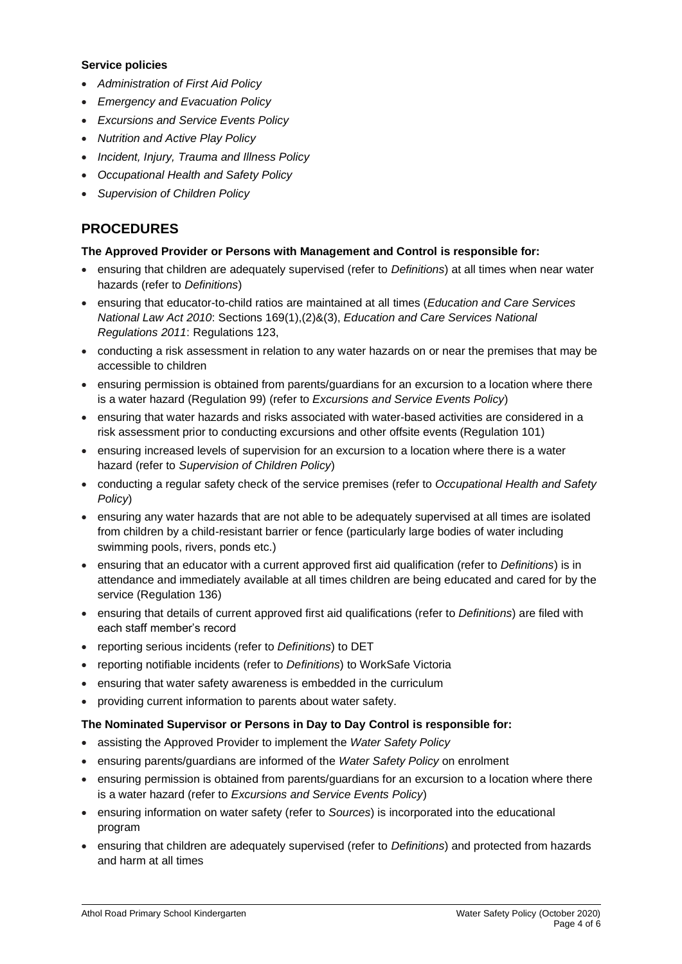#### **Service policies**

- *Administration of First Aid Policy*
- *Emergency and Evacuation Policy*
- *Excursions and Service Events Policy*
- *Nutrition and Active Play Policy*
- *Incident, Injury, Trauma and Illness Policy*
- *Occupational Health and Safety Policy*
- *Supervision of Children Policy*

## **PROCEDURES**

## **The Approved Provider or Persons with Management and Control is responsible for:**

- ensuring that children are adequately supervised (refer to *Definitions*) at all times when near water hazards (refer to *Definitions*)
- ensuring that educator-to-child ratios are maintained at all times (*Education and Care Services National Law Act 2010*: Sections 169(1),(2)&(3), *Education and Care Services National Regulations 2011*: Regulations 123,
- conducting a risk assessment in relation to any water hazards on or near the premises that may be accessible to children
- ensuring permission is obtained from parents/guardians for an excursion to a location where there is a water hazard (Regulation 99) (refer to *Excursions and Service Events Policy*)
- ensuring that water hazards and risks associated with water-based activities are considered in a risk assessment prior to conducting excursions and other offsite events (Regulation 101)
- ensuring increased levels of supervision for an excursion to a location where there is a water hazard (refer to *Supervision of Children Policy*)
- conducting a regular safety check of the service premises (refer to *Occupational Health and Safety Policy*)
- ensuring any water hazards that are not able to be adequately supervised at all times are isolated from children by a child-resistant barrier or fence (particularly large bodies of water including swimming pools, rivers, ponds etc.)
- ensuring that an educator with a current approved first aid qualification (refer to *Definitions*) is in attendance and immediately available at all times children are being educated and cared for by the service (Regulation 136)
- ensuring that details of current approved first aid qualifications (refer to *Definitions*) are filed with each staff member's record
- reporting serious incidents (refer to *Definitions*) to DET
- reporting notifiable incidents (refer to *Definitions*) to WorkSafe Victoria
- ensuring that water safety awareness is embedded in the curriculum
- providing current information to parents about water safety.

#### **The Nominated Supervisor or Persons in Day to Day Control is responsible for:**

- assisting the Approved Provider to implement the *Water Safety Policy*
- ensuring parents/guardians are informed of the *Water Safety Policy* on enrolment
- ensuring permission is obtained from parents/guardians for an excursion to a location where there is a water hazard (refer to *Excursions and Service Events Policy*)
- ensuring information on water safety (refer to *Sources*) is incorporated into the educational program
- ensuring that children are adequately supervised (refer to *Definitions*) and protected from hazards and harm at all times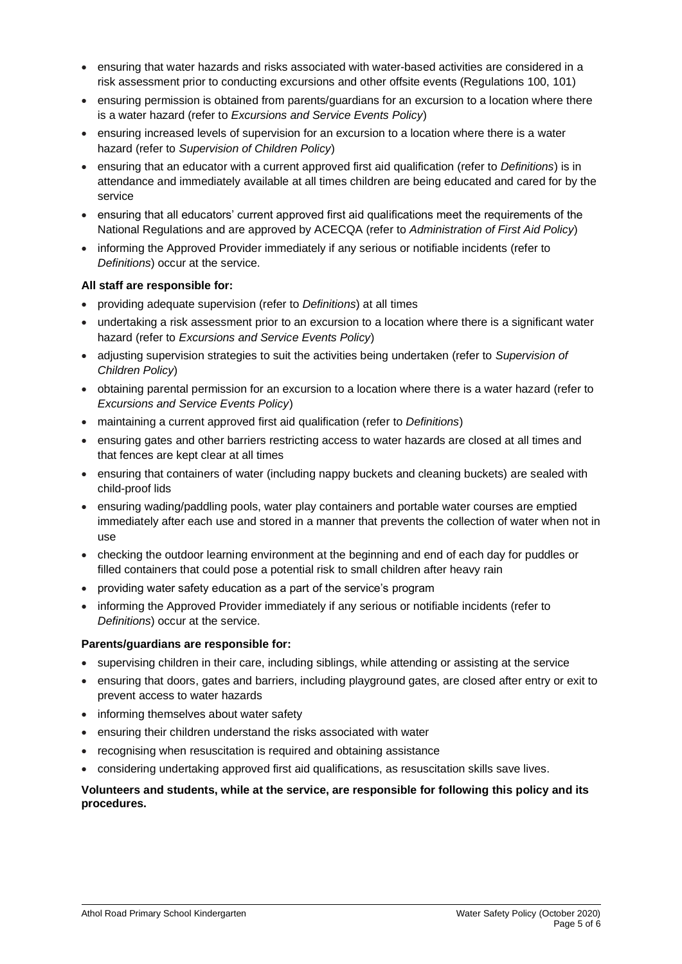- ensuring that water hazards and risks associated with water-based activities are considered in a risk assessment prior to conducting excursions and other offsite events (Regulations 100, 101)
- ensuring permission is obtained from parents/guardians for an excursion to a location where there is a water hazard (refer to *Excursions and Service Events Policy*)
- ensuring increased levels of supervision for an excursion to a location where there is a water hazard (refer to *Supervision of Children Policy*)
- ensuring that an educator with a current approved first aid qualification (refer to *Definitions*) is in attendance and immediately available at all times children are being educated and cared for by the service
- ensuring that all educators' current approved first aid qualifications meet the requirements of the National Regulations and are approved by ACECQA (refer to *Administration of First Aid Policy*)
- informing the Approved Provider immediately if any serious or notifiable incidents (refer to *Definitions*) occur at the service.

#### **All staff are responsible for:**

- providing adequate supervision (refer to *Definitions*) at all times
- undertaking a risk assessment prior to an excursion to a location where there is a significant water hazard (refer to *Excursions and Service Events Policy*)
- adjusting supervision strategies to suit the activities being undertaken (refer to *Supervision of Children Policy*)
- obtaining parental permission for an excursion to a location where there is a water hazard (refer to *Excursions and Service Events Policy*)
- maintaining a current approved first aid qualification (refer to *Definitions*)
- ensuring gates and other barriers restricting access to water hazards are closed at all times and that fences are kept clear at all times
- ensuring that containers of water (including nappy buckets and cleaning buckets) are sealed with child-proof lids
- ensuring wading/paddling pools, water play containers and portable water courses are emptied immediately after each use and stored in a manner that prevents the collection of water when not in use
- checking the outdoor learning environment at the beginning and end of each day for puddles or filled containers that could pose a potential risk to small children after heavy rain
- providing water safety education as a part of the service's program
- informing the Approved Provider immediately if any serious or notifiable incidents (refer to *Definitions*) occur at the service.

#### **Parents/guardians are responsible for:**

- supervising children in their care, including siblings, while attending or assisting at the service
- ensuring that doors, gates and barriers, including playground gates, are closed after entry or exit to prevent access to water hazards
- informing themselves about water safety
- ensuring their children understand the risks associated with water
- recognising when resuscitation is required and obtaining assistance
- considering undertaking approved first aid qualifications, as resuscitation skills save lives.

## **Volunteers and students, while at the service, are responsible for following this policy and its procedures.**